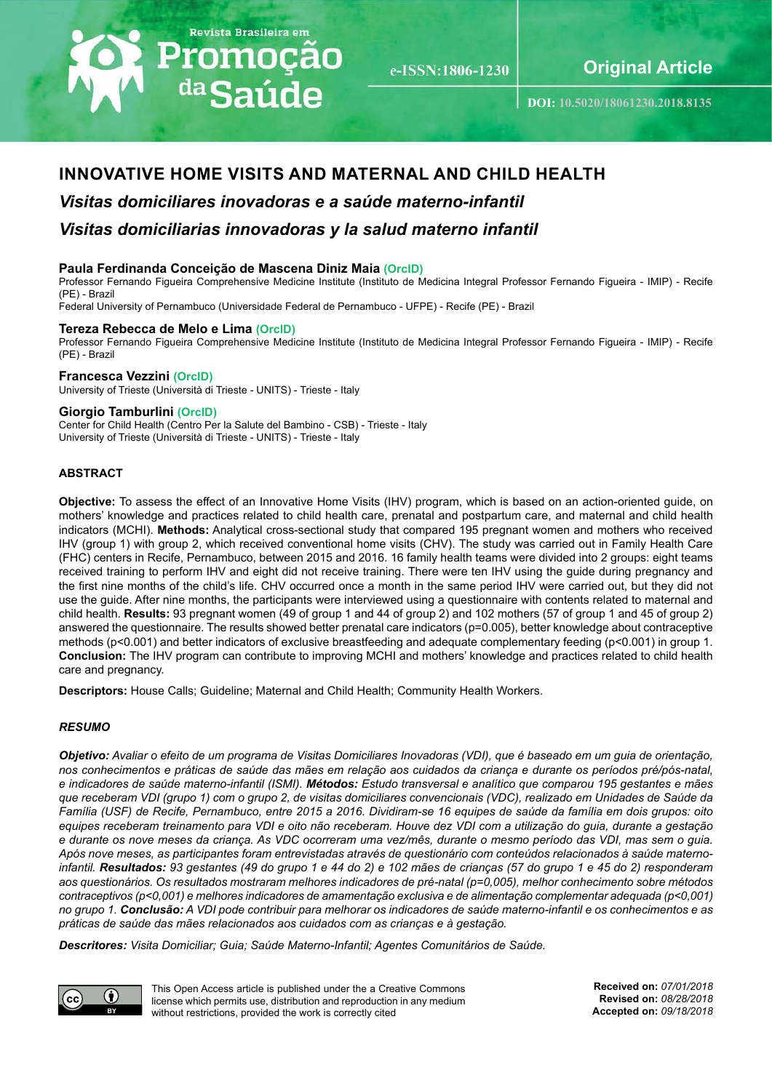# Revista Brasileira em Promoção <sup>da</sup>Saúde

e-ISSN:1806-1230

Maternal and child health guide **Original Article**

**DOI: [10.5020/18061230.2018.8135](http://periodicos.unifor.br/RBPS/article/view/8135)**

## **INNOVATIVE HOME VISITS AND MATERNAL AND CHILD HEALTH**

## *Visitas domiciliares inovadoras e a saúde materno‑infantil Visitas domiciliarias innovadoras y la salud materno infantil*

## **Paula Ferdinanda Conceição de Mascena Diniz Maia ([OrcID](http://orcid.org/0000-0002-6561-6426))**

Professor Fernando Figueira Comprehensive Medicine Institute (Instituto de Medicina Integral Professor Fernando Figueira - IMIP) - Recife (PE) - Brazil

Federal University of Pernambuco (Universidade Federal de Pernambuco - UFPE) - Recife (PE) - Brazil

#### **Tereza Rebecca de Melo e Lima [\(OrcID\)](http://orcid.org/0000-0003-1617-936X)**

Professor Fernando Figueira Comprehensive Medicine Institute (Instituto de Medicina Integral Professor Fernando Figueira - IMIP) - Recife (PE) - Brazil

#### **Francesca Vezzini ([OrcID](http://orcid.org/0000-0002-3756-6257))**

University of Trieste (Università di Trieste - UNITS) - Trieste - Italy

#### **Giorgio Tamburlini ([OrcID](http://orcid.org/0000-0002-8843-5951))**

Center for Child Health (Centro Per la Salute del Bambino - CSB) - Trieste - Italy University of Trieste (Università di Trieste - UNITS) - Trieste - Italy

## **ABSTRACT**

**Objective:** To assess the effect of an Innovative Home Visits (IHV) program, which is based on an action-oriented guide, on mothers' knowledge and practices related to child health care, prenatal and postpartum care, and maternal and child health indicators (MCHI). **Methods:** Analytical cross-sectional study that compared 195 pregnant women and mothers who received IHV (group 1) with group 2, which received conventional home visits (CHV). The study was carried out in Family Health Care (FHC) centers in Recife, Pernambuco, between 2015 and 2016. 16 family health teams were divided into 2 groups: eight teams received training to perform IHV and eight did not receive training. There were ten IHV using the guide during pregnancy and the first nine months of the child's life. CHV occurred once a month in the same period IHV were carried out, but they did not use the guide. After nine months, the participants were interviewed using a questionnaire with contents related to maternal and child health. **Results:** 93 pregnant women (49 of group 1 and 44 of group 2) and 102 mothers (57 of group 1 and 45 of group 2) answered the questionnaire. The results showed better prenatal care indicators (p=0.005), better knowledge about contraceptive methods (p<0.001) and better indicators of exclusive breastfeeding and adequate complementary feeding (p<0.001) in group 1. **Conclusion:** The IHV program can contribute to improving MCHI and mothers' knowledge and practices related to child health care and pregnancy.

**Descriptors:** House Calls; Guideline; Maternal and Child Health; Community Health Workers.

## *RESUMO*

*Objetivo: Avaliar o efeito de um programa de Visitas Domiciliares Inovadoras (VDI), que é baseado em um guia de orientação, nos conhecimentos e práticas de saúde das mães em relação aos cuidados da criança e durante os períodos pré/pós-natal, e indicadores de saúde materno-infantil (ISMI). Métodos: Estudo transversal e analítico que comparou 195 gestantes e mães que receberam VDI (grupo 1) com o grupo 2, de visitas domiciliares convencionais (VDC), realizado em Unidades de Saúde da Família (USF) de Recife, Pernambuco, entre 2015 a 2016. Dividiram-se 16 equipes de saúde da família em dois grupos: oito equipes receberam treinamento para VDI e oito não receberam. Houve dez VDI com a utilização do guia, durante a gestação e durante os nove meses da criança. As VDC ocorreram uma vez/mês, durante o mesmo período das VDI, mas sem o guia. Após nove meses, as participantes foram entrevistadas através de questionário com conteúdos relacionados à saúde maternoinfantil. Resultados: 93 gestantes (49 do grupo 1 e 44 do 2) e 102 mães de crianças (57 do grupo 1 e 45 do 2) responderam aos questionários. Os resultados mostraram melhores indicadores de pré-natal (p=0,005), melhor conhecimento sobre métodos contraceptivos (p<0,001) e melhores indicadores de amamentação exclusiva e de alimentação complementar adequada (p<0,001) no grupo 1. Conclusão: A VDI pode contribuir para melhorar os indicadores de saúde materno-infantil e os conhecimentos e as práticas de saúde das mães relacionados aos cuidados com as crianças e à gestação.*

*Descritores: Visita Domiciliar; Guia; Saúde Materno-Infantil; Agentes Comunitários de Saúde.* 



This Open Access article is published under the a Creative Commons license which permits use, distribution and reproduction in any medium without restrictions, provided the work is correctly cited

**Received on:** *07/01/2018* **Revised on:** *08/28/2018* **Accepted on:** *09/18/2018*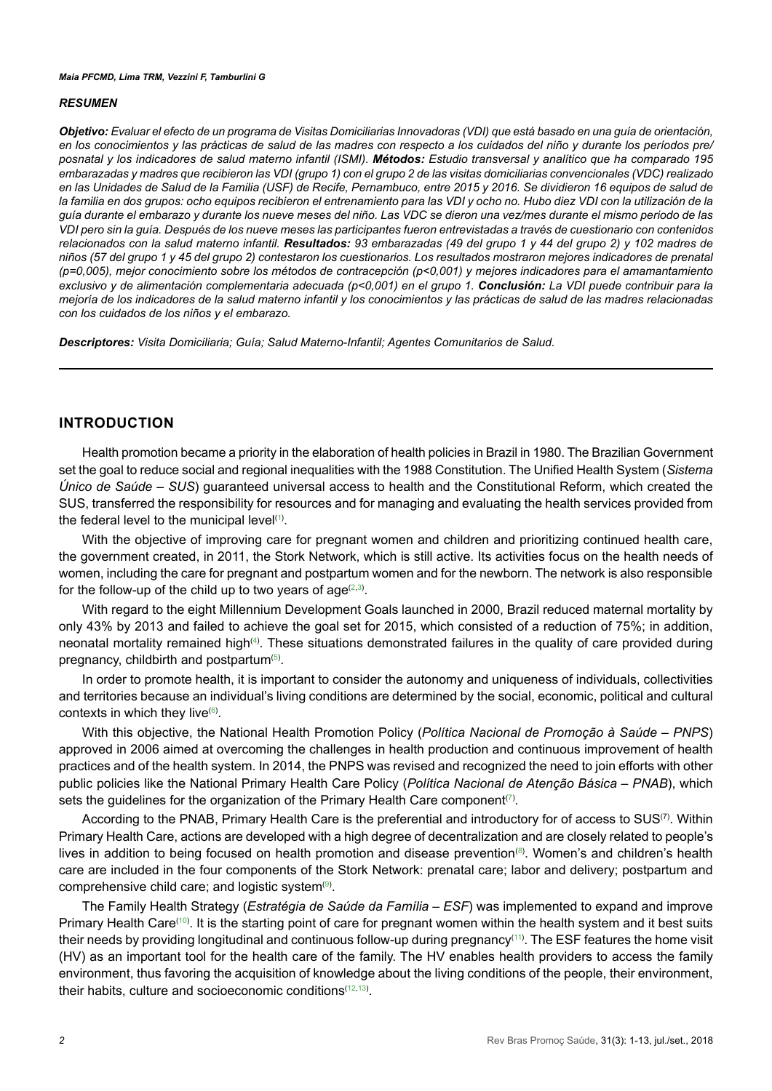#### *RESUMEN*

*Objetivo: Evaluar el efecto de un programa de Visitas Domiciliarias Innovadoras (VDI) que está basado en una guía de orientación, en los conocimientos y las prácticas de salud de las madres con respecto a los cuidados del niño y durante los períodos pre/ posnatal y los indicadores de salud materno infantil (ISMI). Métodos: Estudio transversal y analítico que ha comparado 195 embarazadas y madres que recibieron las VDI (grupo 1) con el grupo 2 de las visitas domiciliarias convencionales (VDC) realizado en las Unidades de Salud de la Familia (USF) de Recife, Pernambuco, entre 2015 y 2016. Se dividieron 16 equipos de salud de*  la familia en dos grupos: ocho equipos recibieron el entrenamiento para las VDI y ocho no. Hubo diez VDI con la utilización de la *guía durante el embarazo y durante los nueve meses del niño. Las VDC se dieron una vez/mes durante el mismo periodo de las VDI pero sin la guía. Después de los nueve meses las participantes fueron entrevistadas a través de cuestionario con contenidos relacionados con la salud materno infantil. Resultados: 93 embarazadas (49 del grupo 1 y 44 del grupo 2) y 102 madres de niños (57 del grupo 1 y 45 del grupo 2) contestaron los cuestionarios. Los resultados mostraron mejores indicadores de prenatal (p=0,005), mejor conocimiento sobre los métodos de contracepción (p<0,001) y mejores indicadores para el amamantamiento exclusivo y de alimentación complementaria adecuada (p<0,001) en el grupo 1. Conclusión: La VDI puede contribuir para la mejoría de los indicadores de la salud materno infantil y los conocimientos y las prácticas de salud de las madres relacionadas con los cuidados de los niños y el embarazo.* 

*Descriptores: Visita Domiciliaria; Guía; Salud Materno-Infantil; Agentes Comunitarios de Salud.*

## **INTRODUCTION**

Health promotion became a priority in the elaboration of health policies in Brazil in 1980. The Brazilian Government set the goal to reduce social and regional inequalities with the 1988 Constitution. The Unified Health System (*Sistema Único de Saúde – SUS*) guaranteed universal access to health and the Constitutional Reform, which created the SUS, transferred the responsibility for resources and for managing and evaluating the health services provided from the federal level to the municipal level $^{\text{\tiny{(1)}}}.$  $^{\text{\tiny{(1)}}}.$  $^{\text{\tiny{(1)}}}.$ 

With the objective of improving care for pregnant women and children and prioritizing continued health care, the government created, in 2011, the Stork Network, which is still active. Its activities focus on the health needs of women, including the care for pregnant and postpartum women and for the newborn. The network is also responsible for the follow-up of the child up to two years of age $^{(2,3)}.$  $^{(2,3)}.$  $^{(2,3)}.$  $^{(2,3)}.$  $^{(2,3)}.$ 

With regard to the eight Millennium Development Goals launched in 2000, Brazil reduced maternal mortality by only 43% by 2013 and failed to achieve the goal set for 2015, which consisted of a reduction of 75%; in addition, neonatal mortality remained high<sup>([4](#page-10-3))</sup>. These situations demonstrated failures in the quality of care provided during pregnancy, childbirth and postpartum $\ ^{(5)}$  $\ ^{(5)}$  $\ ^{(5)}$ .

In order to promote health, it is important to consider the autonomy and uniqueness of individuals, collectivities and territories because an individual's living conditions are determined by the social, economic, political and cultural contexts in which they live ${}^{(6)}$  ${}^{(6)}$  ${}^{(6)}$ .

With this objective, the National Health Promotion Policy (*Política Nacional de Promoção à Saúde – PNPS*) approved in 2006 aimed at overcoming the challenges in health production and continuous improvement of health practices and of the health system. In 2014, the PNPS was revised and recognized the need to join efforts with other public policies like the National Primary Health Care Policy (*Política Nacional de Atenção Básica – PNAB*), which sets the guidelines for the organization of the Primary Health Care component( $^{7}$  $^{7}$  $^{7}$ ).

According to the PNAB, Primary Health Care is the preferential and introductory for of access to SUS<sup>(7)</sup>. Within Primary Health Care, actions are developed with a high degree of decentralization and are closely related to people's lives in addition to being focused on health promotion and disease prevention®. Women's and children's health care are included in the four components of the Stork Network: prenatal care; labor and delivery; postpartum and comprehensive child care; and logistic system $^{\text{\tiny{(9)}}}.$  $^{\text{\tiny{(9)}}}.$  $^{\text{\tiny{(9)}}}.$ 

The Family Health Strategy (*Estratégia de Saúde da Família – ESF*) was implemented to expand and improve Primary Health Care<sup>([10](#page-11-3))</sup>. It is the starting point of care for pregnant women within the health system and it best suits their needs by providing longitudinal and continuous follow-up during pregnancy[\(11](#page-11-4)) . The ESF features the home visit (HV) as an important tool for the health care of the family. The HV enables health providers to access the family environment, thus favoring the acquisition of knowledge about the living conditions of the people, their environment, their habits, culture and socioeconomic conditions([12](#page-11-5)[,13](#page-11-6)) .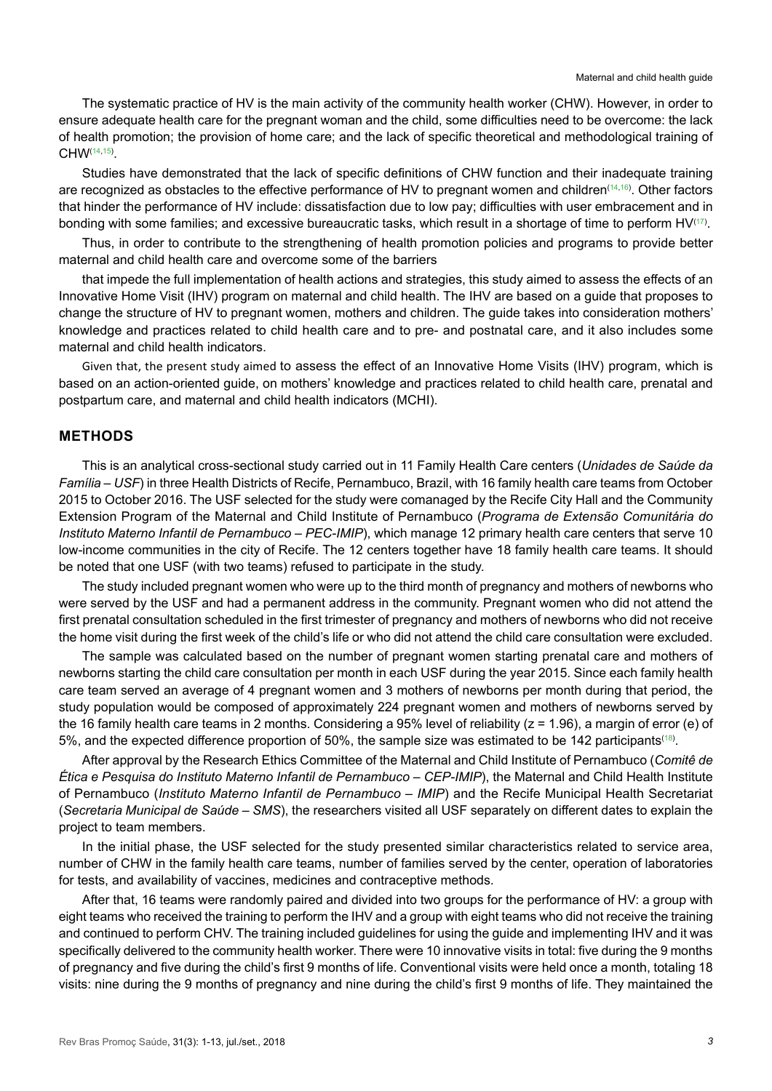The systematic practice of HV is the main activity of the community health worker (CHW). However, in order to ensure adequate health care for the pregnant woman and the child, some difficulties need to be overcome: the lack of health promotion; the provision of home care; and the lack of specific theoretical and methodological training of CHW([14](#page-11-7)[,15\)](#page-11-8) .

Studies have demonstrated that the lack of specific definitions of CHW function and their inadequate training are recognized as obstacles to the effective performance of HV to pregnant women and children([14](#page-11-7),[16](#page-11-9)) . Other factors that hinder the performance of HV include: dissatisfaction due to low pay; difficulties with user embracement and in bonding with some families; and excessive bureaucratic tasks, which result in a shortage of time to perform HV $^{\!(17)}$  $^{\!(17)}$  $^{\!(17)}$ .

Thus, in order to contribute to the strengthening of health promotion policies and programs to provide better maternal and child health care and overcome some of the barriers

that impede the full implementation of health actions and strategies, this study aimed to assess the effects of an Innovative Home Visit (IHV) program on maternal and child health. The IHV are based on a guide that proposes to change the structure of HV to pregnant women, mothers and children. The guide takes into consideration mothers' knowledge and practices related to child health care and to pre- and postnatal care, and it also includes some maternal and child health indicators.

Given that, the present study aimed to assess the effect of an Innovative Home Visits (IHV) program, which is based on an action-oriented guide, on mothers' knowledge and practices related to child health care, prenatal and postpartum care, and maternal and child health indicators (MCHI).

## **METHODS**

This is an analytical cross-sectional study carried out in 11 Family Health Care centers (*Unidades de Saúde da Família – USF*) in three Health Districts of Recife, Pernambuco, Brazil, with 16 family health care teams from October 2015 to October 2016. The USF selected for the study were comanaged by the Recife City Hall and the Community Extension Program of the Maternal and Child Institute of Pernambuco (*Programa de Extensão Comunitária do Instituto Materno Infantil de Pernambuco – PEC-IMIP*), which manage 12 primary health care centers that serve 10 low-income communities in the city of Recife. The 12 centers together have 18 family health care teams. It should be noted that one USF (with two teams) refused to participate in the study.

The study included pregnant women who were up to the third month of pregnancy and mothers of newborns who were served by the USF and had a permanent address in the community. Pregnant women who did not attend the first prenatal consultation scheduled in the first trimester of pregnancy and mothers of newborns who did not receive the home visit during the first week of the child's life or who did not attend the child care consultation were excluded.

The sample was calculated based on the number of pregnant women starting prenatal care and mothers of newborns starting the child care consultation per month in each USF during the year 2015. Since each family health care team served an average of 4 pregnant women and 3 mothers of newborns per month during that period, the study population would be composed of approximately 224 pregnant women and mothers of newborns served by the 16 family health care teams in 2 months. Considering a 95% level of reliability (z = 1.96), a margin of error (e) of 5%, and the expected difference proportion of 50%, the sample size was estimated to be 142 participants $^{\text{\tiny{(18)}}}$  $^{\text{\tiny{(18)}}}$  $^{\text{\tiny{(18)}}}$ .

After approval by the Research Ethics Committee of the Maternal and Child Institute of Pernambuco (*Comitê de Ética e Pesquisa do Instituto Materno Infantil de Pernambuco – CEP-IMIP*), the Maternal and Child Health Institute of Pernambuco (*Instituto Materno Infantil de Pernambuco – IMIP*) and the Recife Municipal Health Secretariat (*Secretaria Municipal de Saúde – SMS*), the researchers visited all USF separately on different dates to explain the project to team members.

In the initial phase, the USF selected for the study presented similar characteristics related to service area, number of CHW in the family health care teams, number of families served by the center, operation of laboratories for tests, and availability of vaccines, medicines and contraceptive methods.

After that, 16 teams were randomly paired and divided into two groups for the performance of HV: a group with eight teams who received the training to perform the IHV and a group with eight teams who did not receive the training and continued to perform CHV. The training included guidelines for using the guide and implementing IHV and it was specifically delivered to the community health worker. There were 10 innovative visits in total: five during the 9 months of pregnancy and five during the child's first 9 months of life. Conventional visits were held once a month, totaling 18 visits: nine during the 9 months of pregnancy and nine during the child's first 9 months of life. They maintained the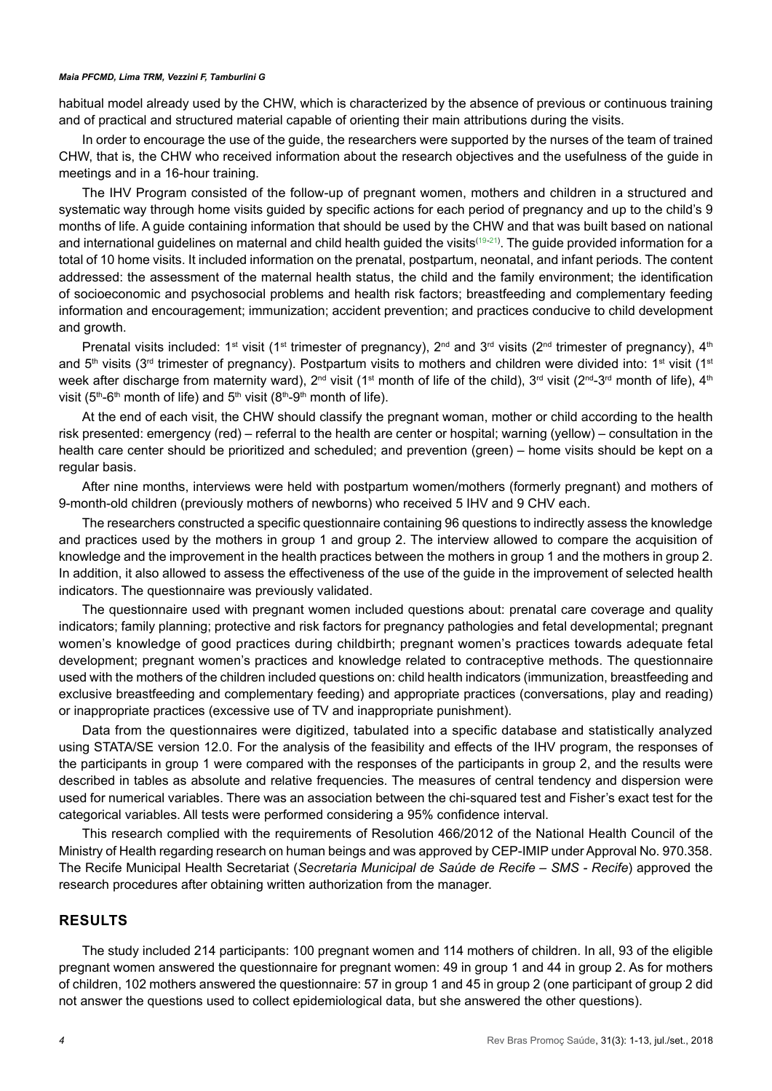habitual model already used by the CHW, which is characterized by the absence of previous or continuous training and of practical and structured material capable of orienting their main attributions during the visits.

In order to encourage the use of the guide, the researchers were supported by the nurses of the team of trained CHW, that is, the CHW who received information about the research objectives and the usefulness of the guide in meetings and in a 16-hour training.

The IHV Program consisted of the follow-up of pregnant women, mothers and children in a structured and systematic way through home visits guided by specific actions for each period of pregnancy and up to the child's 9 months of life. A guide containing information that should be used by the CHW and that was built based on national and international guidelines on maternal and child health guided the visits<sup>([19-](#page-11-12)21</sup>). The guide provided information for a total of 10 home visits. It included information on the prenatal, postpartum, neonatal, and infant periods. The content addressed: the assessment of the maternal health status, the child and the family environment; the identification of socioeconomic and psychosocial problems and health risk factors; breastfeeding and complementary feeding information and encouragement; immunization; accident prevention; and practices conducive to child development and growth.

Prenatal visits included: 1<sup>st</sup> visit (1<sup>st</sup> trimester of pregnancy), 2<sup>nd</sup> and 3<sup>rd</sup> visits (2<sup>nd</sup> trimester of pregnancy), 4<sup>th</sup> and  $5<sup>th</sup>$  visits (3<sup>rd</sup> trimester of pregnancy). Postpartum visits to mothers and children were divided into: 1<sup>st</sup> visit (1<sup>st</sup> week after discharge from maternity ward),  $2^{nd}$  visit (1<sup>st</sup> month of life of the child),  $3^{rd}$  visit ( $2^{nd}-3^{rd}$  month of life),  $4^{th}$ visit ( $5<sup>th</sup>$ -6<sup>th</sup> month of life) and  $5<sup>th</sup>$  visit ( $8<sup>th</sup>$ -9<sup>th</sup> month of life).

At the end of each visit, the CHW should classify the pregnant woman, mother or child according to the health risk presented: emergency (red) – referral to the health are center or hospital; warning (yellow) – consultation in the health care center should be prioritized and scheduled; and prevention (green) – home visits should be kept on a regular basis.

After nine months, interviews were held with postpartum women/mothers (formerly pregnant) and mothers of 9-month-old children (previously mothers of newborns) who received 5 IHV and 9 CHV each.

The researchers constructed a specific questionnaire containing 96 questions to indirectly assess the knowledge and practices used by the mothers in group 1 and group 2. The interview allowed to compare the acquisition of knowledge and the improvement in the health practices between the mothers in group 1 and the mothers in group 2. In addition, it also allowed to assess the effectiveness of the use of the guide in the improvement of selected health indicators. The questionnaire was previously validated.

The questionnaire used with pregnant women included questions about: prenatal care coverage and quality indicators; family planning; protective and risk factors for pregnancy pathologies and fetal developmental; pregnant women's knowledge of good practices during childbirth; pregnant women's practices towards adequate fetal development; pregnant women's practices and knowledge related to contraceptive methods. The questionnaire used with the mothers of the children included questions on: child health indicators (immunization, breastfeeding and exclusive breastfeeding and complementary feeding) and appropriate practices (conversations, play and reading) or inappropriate practices (excessive use of TV and inappropriate punishment).

Data from the questionnaires were digitized, tabulated into a specific database and statistically analyzed using STATA/SE version 12.0. For the analysis of the feasibility and effects of the IHV program, the responses of the participants in group 1 were compared with the responses of the participants in group 2, and the results were described in tables as absolute and relative frequencies. The measures of central tendency and dispersion were used for numerical variables. There was an association between the chi-squared test and Fisher's exact test for the categorical variables. All tests were performed considering a 95% confidence interval.

This research complied with the requirements of Resolution 466/2012 of the National Health Council of the Ministry of Health regarding research on human beings and was approved by CEP-IMIP under Approval No. 970.358. The Recife Municipal Health Secretariat (*Secretaria Municipal de Saúde de Recife – SMS - Recife*) approved the research procedures after obtaining written authorization from the manager.

## **RESULTS**

The study included 214 participants: 100 pregnant women and 114 mothers of children. In all, 93 of the eligible pregnant women answered the questionnaire for pregnant women: 49 in group 1 and 44 in group 2. As for mothers of children, 102 mothers answered the questionnaire: 57 in group 1 and 45 in group 2 (one participant of group 2 did not answer the questions used to collect epidemiological data, but she answered the other questions).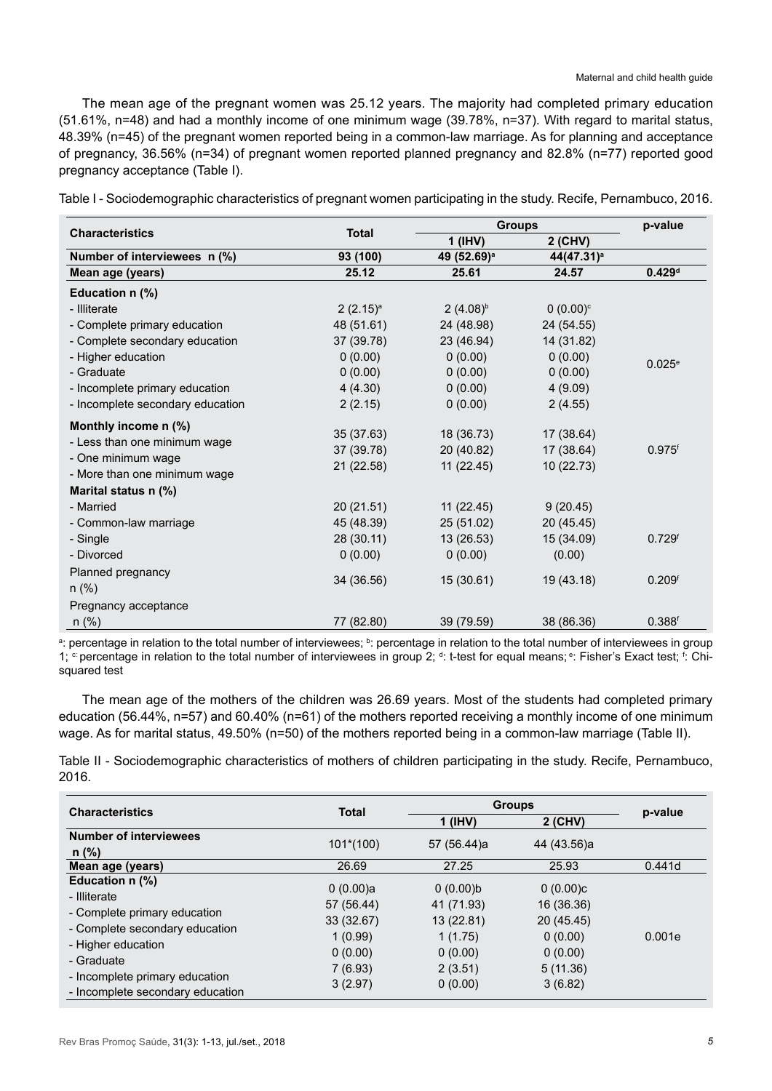The mean age of the pregnant women was 25.12 years. The majority had completed primary education (51.61%, n=48) and had a monthly income of one minimum wage (39.78%, n=37). With regard to marital status, 48.39% (n=45) of the pregnant women reported being in a common-law marriage. As for planning and acceptance of pregnancy, 36.56% (n=34) of pregnant women reported planned pregnancy and 82.8% (n=77) reported good pregnancy acceptance (Table I).

|                                                                                                            |                                       |                                       | <b>Groups</b>                          | p-value              |
|------------------------------------------------------------------------------------------------------------|---------------------------------------|---------------------------------------|----------------------------------------|----------------------|
| <b>Characteristics</b>                                                                                     | <b>Total</b>                          | $1$ (IHV)                             | 2 (CHV)                                |                      |
| Number of interviewees n (%)                                                                               | 93 (100)                              | 49 (52.69) <sup>a</sup>               | 44(47.31) <sup>a</sup>                 |                      |
| Mean age (years)                                                                                           | 25.12                                 | 25.61                                 | 24.57                                  | 0.429 <sup>d</sup>   |
| Education n (%)                                                                                            |                                       |                                       |                                        |                      |
| - Illiterate                                                                                               | $2(2.15)^{a}$                         | $2(4.08)^{b}$                         | $0(0.00)^{\circ}$                      |                      |
| - Complete primary education                                                                               | 48 (51.61)                            | 24 (48.98)                            | 24 (54.55)                             |                      |
| - Complete secondary education                                                                             | 37 (39.78)                            | 23 (46.94)                            | 14 (31.82)                             |                      |
| - Higher education                                                                                         | 0(0.00)                               | 0(0.00)                               | 0(0.00)                                | $0.025^{\circ}$      |
| - Graduate                                                                                                 | 0(0.00)                               | 0(0.00)                               | 0(0.00)                                |                      |
| - Incomplete primary education                                                                             | 4(4.30)                               | 0(0.00)                               | 4(9.09)                                |                      |
| - Incomplete secondary education                                                                           | 2(2.15)                               | 0(0.00)                               | 2(4.55)                                |                      |
| Monthly income n (%)<br>- Less than one minimum wage<br>- One minimum wage<br>- More than one minimum wage | 35 (37.63)<br>37 (39.78)<br>21(22.58) | 18 (36.73)<br>20 (40.82)<br>11(22.45) | 17 (38.64)<br>17 (38.64)<br>10 (22.73) | $0.975$ <sup>f</sup> |
| Marital status n (%)                                                                                       |                                       |                                       |                                        |                      |
| - Married                                                                                                  | 20(21.51)                             | 11(22.45)                             | 9(20.45)                               |                      |
| - Common-law marriage                                                                                      | 45 (48.39)                            | 25 (51.02)                            | 20 (45.45)                             |                      |
| - Single                                                                                                   | 28 (30.11)                            | 13(26.53)                             | 15 (34.09)                             | 0.729 <sup>f</sup>   |
| - Divorced                                                                                                 | 0(0.00)                               | 0(0.00)                               | (0.00)                                 |                      |
| Planned pregnancy<br>$n$ (%)                                                                               | 34 (36.56)                            | 15(30.61)                             | 19 (43.18)                             | 0.209 <sup>f</sup>   |
| Pregnancy acceptance                                                                                       |                                       |                                       |                                        |                      |
| $n$ (%)                                                                                                    | 77 (82.80)                            | 39 (79.59)                            | 38 (86.36)                             | $0.388$ <sup>f</sup> |

Table I - Sociodemographic characteristics of pregnant women participating in the study. Recife, Pernambuco, 2016.

<sup>a</sup>: percentage in relation to the total number of interviewees; <sup>b</sup>: percentage in relation to the total number of interviewees in group 1; <sup>c:</sup> percentage in relation to the total number of interviewees in group 2; <sup>d</sup>: t-test for equal means; <sup>e</sup>: Fisher's Exact test; <sup>f</sup>: Chisquared test

The mean age of the mothers of the children was 26.69 years. Most of the students had completed primary education (56.44%, n=57) and 60.40% (n=61) of the mothers reported receiving a monthly income of one minimum wage. As for marital status, 49.50% (n=50) of the mothers reported being in a common-law marriage (Table II).

Table II - Sociodemographic characteristics of mothers of children participating in the study. Recife, Pernambuco, 2016.

| <b>Characteristics</b>           |             | <b>Groups</b><br><b>Total</b> |             | p-value |
|----------------------------------|-------------|-------------------------------|-------------|---------|
|                                  |             | $1$ (IHV)                     | $2$ (CHV)   |         |
| <b>Number of interviewees</b>    | $101*(100)$ | 57 (56.44)a                   | 44 (43.56)a |         |
| $n$ (%)                          |             |                               |             |         |
| Mean age (years)                 | 26.69       | 27.25                         | 25.93       | 0.441d  |
| Education n (%)                  | 0(0.00)a    | 0(0.00)b                      | (0.00)c     |         |
| - Illiterate                     | 57 (56.44)  | 41 (71.93)                    | 16 (36.36)  |         |
| - Complete primary education     | 33 (32.67)  | 13 (22.81)                    | 20 (45.45)  |         |
| - Complete secondary education   | 1(0.99)     | 1(1.75)                       | 0(0.00)     | 0.001e  |
| - Higher education               | 0(0.00)     | 0(0.00)                       | 0(0.00)     |         |
| - Graduate                       | 7(6.93)     | 2(3.51)                       | 5(11.36)    |         |
| - Incomplete primary education   | 3(2.97)     | 0(0.00)                       | 3(6.82)     |         |
| - Incomplete secondary education |             |                               |             |         |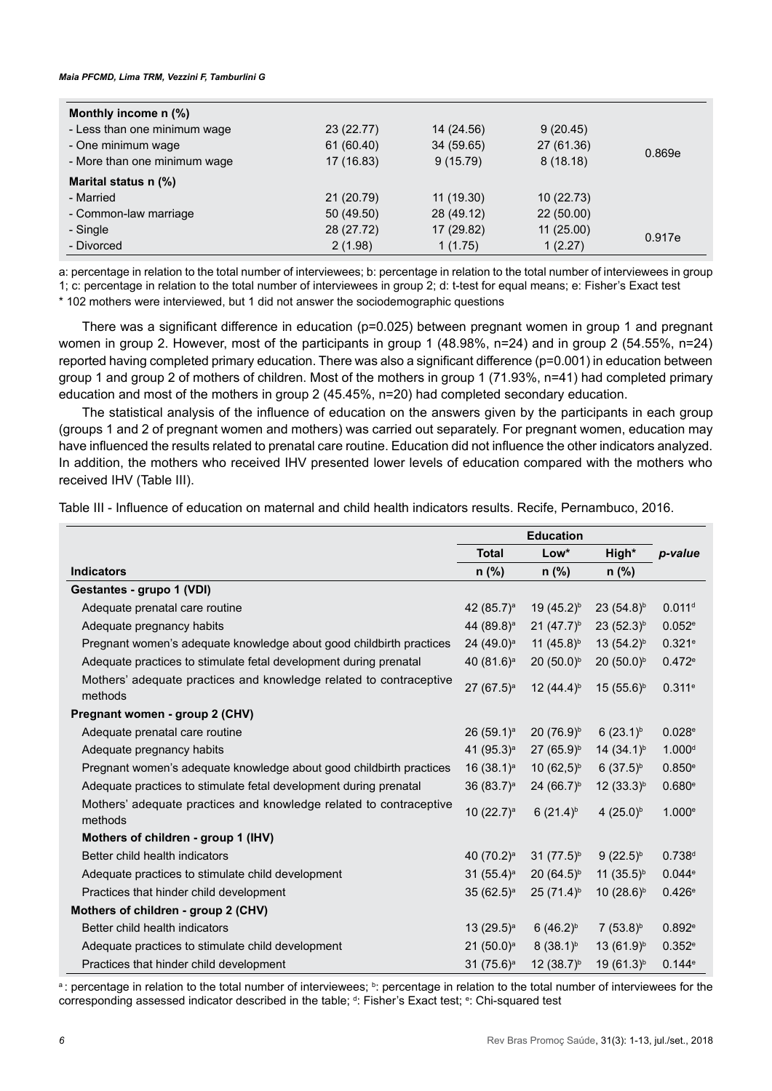| Monthly income n (%)         |            |            |            |        |
|------------------------------|------------|------------|------------|--------|
| - Less than one minimum wage | 23 (22.77) | 14 (24.56) | 9(20.45)   |        |
| - One minimum wage           | 61 (60.40) | 34 (59.65) | 27 (61.36) | 0.869e |
| - More than one minimum wage | 17 (16.83) | 9(15.79)   | 8(18.18)   |        |
| Marital status n (%)         |            |            |            |        |
| - Married                    | 21 (20.79) | 11 (19.30) | 10(22.73)  |        |
| - Common-law marriage        | 50 (49.50) | 28 (49.12) | 22(50.00)  |        |
| - Single                     | 28 (27.72) | 17 (29.82) | 11(25.00)  | 0.917e |
| - Divorced                   | 2(1.98)    | 1(1.75)    | 1(2.27)    |        |

a: percentage in relation to the total number of interviewees; b: percentage in relation to the total number of interviewees in group 1; c: percentage in relation to the total number of interviewees in group 2; d: t-test for equal means; e: Fisher's Exact test

\* 102 mothers were interviewed, but 1 did not answer the sociodemographic questions

There was a significant difference in education (p=0.025) between pregnant women in group 1 and pregnant women in group 2. However, most of the participants in group 1 (48.98%, n=24) and in group 2 (54.55%, n=24) reported having completed primary education. There was also a significant difference (p=0.001) in education between group 1 and group 2 of mothers of children. Most of the mothers in group 1 (71.93%, n=41) had completed primary education and most of the mothers in group 2 (45.45%, n=20) had completed secondary education.

The statistical analysis of the influence of education on the answers given by the participants in each group (groups 1 and 2 of pregnant women and mothers) was carried out separately. For pregnant women, education may have influenced the results related to prenatal care routine. Education did not influence the other indicators analyzed. In addition, the mothers who received IHV presented lower levels of education compared with the mothers who received IHV (Table III).

Table III - Influence of education on maternal and child health indicators results. Recife, Pernambuco, 2016.

|                                                                               | <b>Education</b>         |                        |                        |                    |
|-------------------------------------------------------------------------------|--------------------------|------------------------|------------------------|--------------------|
|                                                                               | <b>Total</b>             | Low*                   | High*                  | p-value            |
| <b>Indicators</b>                                                             | $n$ (%)                  | $n$ (%)                | $n$ (%)                |                    |
| Gestantes - grupo 1 (VDI)                                                     |                          |                        |                        |                    |
| Adequate prenatal care routine                                                | 42 (85.7) <sup>a</sup>   | 19 (45.2) <sup>b</sup> | 23 $(54.8)^{b}$        | 0.011 <sup>d</sup> |
| Adequate pregnancy habits                                                     | 44 (89.8) <sup>a</sup>   | $21 (47.7)^{b}$        | $23(52.3)^{b}$         | 0.052e             |
| Pregnant women's adequate knowledge about good childbirth practices           | $24(49.0)^a$             | 11 $(45.8)^{b}$        | $13(54.2)^{b}$         | 0.321e             |
| Adequate practices to stimulate fetal development during prenatal             | 40 $(81.6)^a$            | $20(50.0)^{b}$         | $20(50.0)^{b}$         | 0.472e             |
| Mothers' adequate practices and knowledge related to contraceptive<br>methods | $27(67.5)^a$             | $12(44.4)^{b}$         | $15(55.6)^b$           | 0.311e             |
| Pregnant women - group 2 (CHV)                                                |                          |                        |                        |                    |
| Adequate prenatal care routine                                                | $26(59.1)^a$             | 20 (76.9) <sup>b</sup> | $6(23.1)^{b}$          | 0.028e             |
| Adequate pregnancy habits                                                     | 41 (95.3) <sup>a</sup>   | $27(65.9)^{b}$         | 14 $(34.1)^{b}$        | 1.000 <sup>d</sup> |
| Pregnant women's adequate knowledge about good childbirth practices           | 16 $(38.1)^a$            | $10(62,5)^{b}$         | $6(37.5)^{b}$          | 0.850e             |
| Adequate practices to stimulate fetal development during prenatal             | 36 $(83.7)$ <sup>a</sup> | $24 (66.7)^{b}$        | $12(33.3)^{b}$         | 0.680e             |
| Mothers' adequate practices and knowledge related to contraceptive<br>methods | 10 $(22.7)^a$            | $6(21.4)^{b}$          | 4 $(25.0)^{b}$         | 1.000e             |
| Mothers of children - group 1 (IHV)                                           |                          |                        |                        |                    |
| Better child health indicators                                                | 40 $(70.2)^a$            | $31 (77.5)^{b}$        | $9(22.5)^{b}$          | 0.738d             |
| Adequate practices to stimulate child development                             | 31 $(55.4)^a$            | 20 $(64.5)^{b}$        | 11 $(35.5)^{b}$        | 0.044e             |
| Practices that hinder child development                                       | $35(62.5)$ <sup>a</sup>  | $25(71.4)^{b}$         | 10 $(28.6)^{b}$        | 0.426e             |
| Mothers of children - group 2 (CHV)                                           |                          |                        |                        |                    |
| Better child health indicators                                                | 13 $(29.5)^a$            | 6 $(46.2)^{b}$         | $7(53.8)^{b}$          | 0.892e             |
| Adequate practices to stimulate child development                             | $21 (50.0)^a$            | $8(38.1)^{b}$          | $13(61.9)^{b}$         | 0.352e             |
| Practices that hinder child development                                       | $31(75.6)^a$             | 12 $(38.7)^{b}$        | 19 (61.3) <sup>b</sup> | 0.144e             |

a: percentage in relation to the total number of interviewees; <sup>b</sup>: percentage in relation to the total number of interviewees for the corresponding assessed indicator described in the table; <sup>d</sup>: Fisher's Exact test; °: Chi-squared test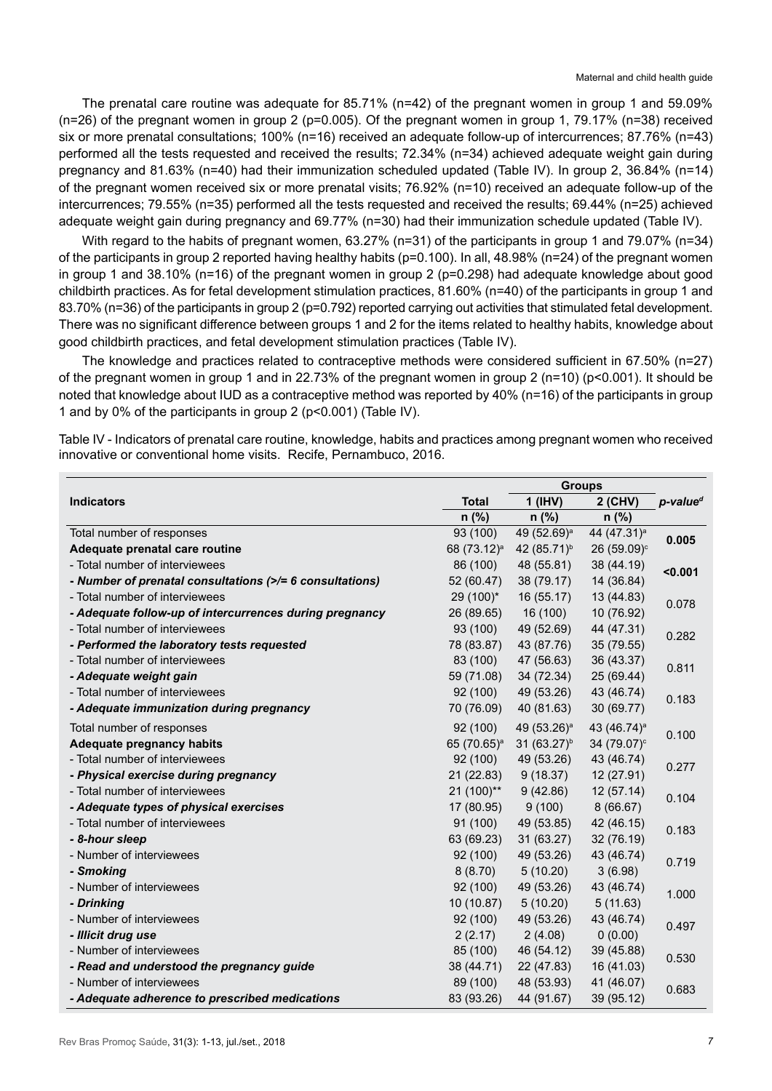The prenatal care routine was adequate for 85.71% (n=42) of the pregnant women in group 1 and 59.09% (n=26) of the pregnant women in group 2 (p=0.005). Of the pregnant women in group 1, 79.17% (n=38) received six or more prenatal consultations; 100% (n=16) received an adequate follow-up of intercurrences; 87.76% (n=43) performed all the tests requested and received the results; 72.34% (n=34) achieved adequate weight gain during pregnancy and 81.63% (n=40) had their immunization scheduled updated (Table IV). In group 2, 36.84% (n=14) of the pregnant women received six or more prenatal visits; 76.92% (n=10) received an adequate follow-up of the intercurrences; 79.55% (n=35) performed all the tests requested and received the results; 69.44% (n=25) achieved adequate weight gain during pregnancy and 69.77% (n=30) had their immunization schedule updated (Table IV).

With regard to the habits of pregnant women, 63.27% (n=31) of the participants in group 1 and 79.07% (n=34) of the participants in group 2 reported having healthy habits (p=0.100). In all, 48.98% (n=24) of the pregnant women in group 1 and 38.10% (n=16) of the pregnant women in group 2 (p=0.298) had adequate knowledge about good childbirth practices. As for fetal development stimulation practices, 81.60% (n=40) of the participants in group 1 and 83.70% (n=36) of the participants in group 2 (p=0.792) reported carrying out activities that stimulated fetal development. There was no significant difference between groups 1 and 2 for the items related to healthy habits, knowledge about good childbirth practices, and fetal development stimulation practices (Table IV).

The knowledge and practices related to contraceptive methods were considered sufficient in 67.50% (n=27) of the pregnant women in group 1 and in 22.73% of the pregnant women in group 2 (n=10) (p<0.001). It should be noted that knowledge about IUD as a contraceptive method was reported by 40% (n=16) of the participants in group 1 and by 0% of the participants in group 2 (p<0.001) (Table IV).

Table IV - Indicators of prenatal care routine, knowledge, habits and practices among pregnant women who received innovative or conventional home visits. Recife, Pernambuco, 2016.

|                                                          |                         | <b>Groups</b>           |                         |                         |  |
|----------------------------------------------------------|-------------------------|-------------------------|-------------------------|-------------------------|--|
| <b>Indicators</b>                                        | <b>Total</b>            | $1$ (IHV)               | 2 (CHV)                 | $p$ -value <sup>d</sup> |  |
|                                                          | $n$ (%)                 | $n$ (%)                 | $n$ (%)                 |                         |  |
| Total number of responses                                | 93 (100)                | 49 (52.69) <sup>a</sup> | 44 (47.31) <sup>a</sup> | 0.005                   |  |
| Adequate prenatal care routine                           | 68 (73.12) <sup>a</sup> | 42 (85.71) <sup>b</sup> | 26 (59.09) <sup>c</sup> |                         |  |
| - Total number of interviewees                           | 86 (100)                | 48 (55.81)              | 38 (44.19)              | $0.001$                 |  |
| - Number of prenatal consultations (>/= 6 consultations) | 52 (60.47)              | 38 (79.17)              | 14 (36.84)              |                         |  |
| - Total number of interviewees                           | 29 (100)*               | 16(55.17)               | 13 (44.83)              | 0.078                   |  |
| - Adequate follow-up of intercurrences during pregnancy  | 26 (89.65)              | 16(100)                 | 10 (76.92)              |                         |  |
| - Total number of interviewees                           | 93 (100)                | 49 (52.69)              | 44 (47.31)              | 0.282                   |  |
| - Performed the laboratory tests requested               | 78 (83.87)              | 43 (87.76)              | 35 (79.55)              |                         |  |
| - Total number of interviewees                           | 83 (100)                | 47 (56.63)              | 36 (43.37)              | 0.811                   |  |
| - Adequate weight gain                                   | 59 (71.08)              | 34 (72.34)              | 25 (69.44)              |                         |  |
| - Total number of interviewees                           | 92 (100)                | 49 (53.26)              | 43 (46.74)              | 0.183                   |  |
| - Adequate immunization during pregnancy                 | 70 (76.09)              | 40 (81.63)              | 30 (69.77)              |                         |  |
| Total number of responses                                | 92 (100)                | 49 (53.26) <sup>a</sup> | 43 (46.74) <sup>a</sup> | 0.100                   |  |
| <b>Adequate pregnancy habits</b>                         | 65 (70.65) <sup>a</sup> | 31 (63.27) <sup>b</sup> | 34 (79.07) <sup>c</sup> |                         |  |
| - Total number of interviewees                           | 92 (100)                | 49 (53.26)              | 43 (46.74)              | 0.277                   |  |
| - Physical exercise during pregnancy                     | 21 (22.83)              | 9(18.37)                | 12 (27.91)              |                         |  |
| - Total number of interviewees                           | 21 (100)**              | 9(42.86)                | 12(57.14)               | 0.104                   |  |
| - Adequate types of physical exercises                   | 17 (80.95)              | 9(100)                  | 8(66.67)                |                         |  |
| - Total number of interviewees                           | 91 (100)                | 49 (53.85)              | 42 (46.15)              | 0.183                   |  |
| - 8-hour sleep                                           | 63 (69.23)              | 31(63.27)               | 32 (76.19)              |                         |  |
| - Number of interviewees                                 | 92 (100)                | 49 (53.26)              | 43 (46.74)              | 0.719                   |  |
| - Smoking                                                | 8(8.70)                 | 5(10.20)                | 3(6.98)                 |                         |  |
| - Number of interviewees                                 | 92 (100)                | 49 (53.26)              | 43 (46.74)              | 1.000                   |  |
| - Drinking                                               | 10 (10.87)              | 5(10.20)                | 5(11.63)                |                         |  |
| - Number of interviewees                                 | 92 (100)                | 49 (53.26)              | 43 (46.74)              | 0.497                   |  |
| - Illicit drug use                                       | 2(2.17)                 | 2(4.08)                 | 0(0.00)                 |                         |  |
| - Number of interviewees                                 | 85 (100)                | 46 (54.12)              | 39 (45.88)              | 0.530                   |  |
| - Read and understood the pregnancy guide                | 38 (44.71)              | 22 (47.83)              | 16 (41.03)              |                         |  |
| - Number of interviewees                                 | 89 (100)                | 48 (53.93)              | 41 (46.07)              | 0.683                   |  |
| - Adequate adherence to prescribed medications           | 83 (93.26)              | 44 (91.67)              | 39 (95.12)              |                         |  |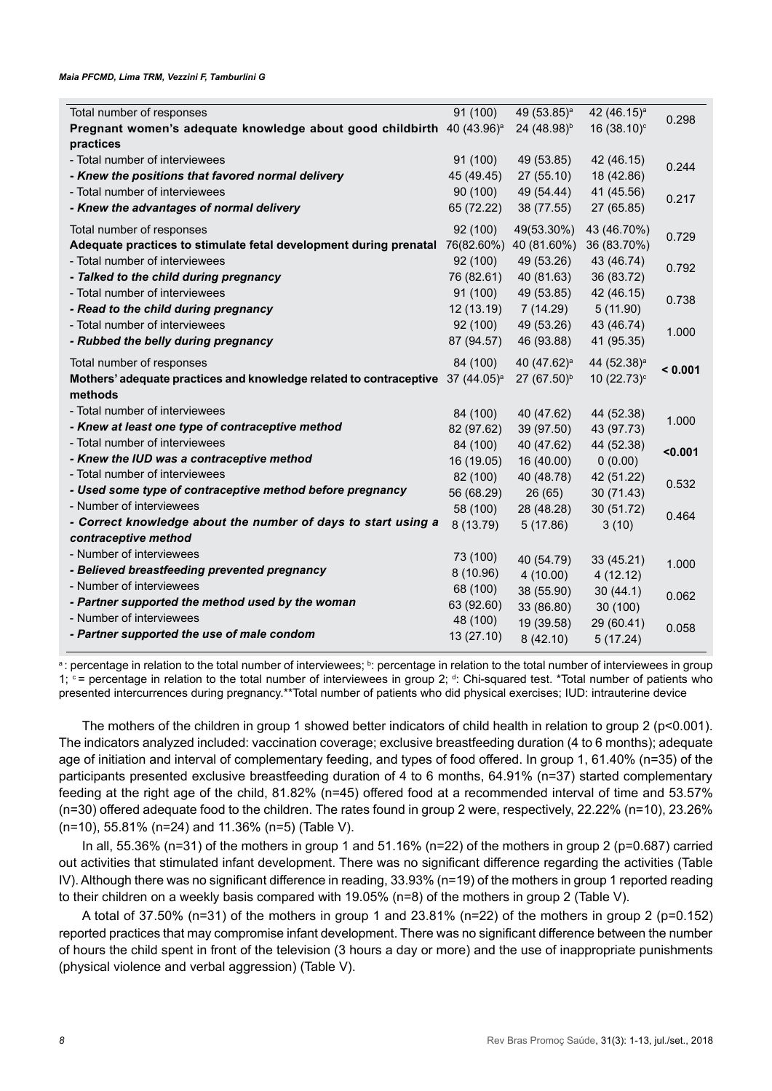| Total number of responses                                                                  | 91 (100)   | 49 (53.85) <sup>a</sup> | 42 (46.15) <sup>a</sup> | 0.298   |
|--------------------------------------------------------------------------------------------|------------|-------------------------|-------------------------|---------|
| Pregnant women's adequate knowledge about good childbirth 40 (43.96) <sup>a</sup>          |            | 24 (48.98) <sup>b</sup> | 16 (38.10) <sup>c</sup> |         |
| practices                                                                                  |            |                         |                         |         |
| - Total number of interviewees                                                             | 91 (100)   | 49 (53.85)              | 42 (46.15)              | 0.244   |
| - Knew the positions that favored normal delivery                                          | 45 (49.45) | 27(55.10)               | 18 (42.86)              |         |
| - Total number of interviewees                                                             | 90 (100)   | 49 (54.44)              | 41 (45.56)              | 0.217   |
| - Knew the advantages of normal delivery                                                   | 65 (72.22) | 38 (77.55)              | 27 (65.85)              |         |
| Total number of responses                                                                  | 92 (100)   | 49(53.30%)              | 43 (46.70%)             | 0.729   |
| Adequate practices to stimulate fetal development during prenatal 76(82.60%)               |            | 40 (81.60%)             | 36 (83.70%)             |         |
| - Total number of interviewees                                                             | 92 (100)   | 49 (53.26)              | 43 (46.74)              | 0.792   |
| - Talked to the child during pregnancy                                                     | 76 (82.61) | 40 (81.63)              | 36 (83.72)              |         |
| - Total number of interviewees                                                             | 91 (100)   | 49 (53.85)              | 42 (46.15)              | 0.738   |
| - Read to the child during pregnancy                                                       | 12 (13.19) | 7 (14.29)               | 5(11.90)                |         |
| - Total number of interviewees                                                             | 92 (100)   | 49 (53.26)              | 43 (46.74)              |         |
| - Rubbed the belly during pregnancy                                                        | 87 (94.57) | 46 (93.88)              | 41 (95.35)              | 1.000   |
| Total number of responses                                                                  | 84 (100)   | 40 (47.62) <sup>a</sup> | 44 (52.38) <sup>a</sup> |         |
| Mothers' adequate practices and knowledge related to contraceptive 37 (44.05) <sup>a</sup> |            | 27 (67.50) <sup>b</sup> | 10 (22.73) <sup>c</sup> | < 0.001 |
| methods                                                                                    |            |                         |                         |         |
| - Total number of interviewees                                                             | 84 (100)   | 40 (47.62)              | 44 (52.38)              |         |
| - Knew at least one type of contraceptive method                                           | 82 (97.62) | 39 (97.50)              | 43 (97.73)              | 1.000   |
| - Total number of interviewees                                                             | 84 (100)   | 40 (47.62)              | 44 (52.38)              |         |
| - Knew the IUD was a contraceptive method                                                  | 16 (19.05) | 16 (40.00)              | 0(0.00)                 | < 0.001 |
| - Total number of interviewees                                                             | 82 (100)   | 40 (48.78)              | 42 (51.22)              |         |
| - Used some type of contraceptive method before pregnancy                                  | 56 (68.29) | 26(65)                  | 30 (71.43)              | 0.532   |
| - Number of interviewees                                                                   | 58 (100)   | 28 (48.28)              | 30 (51.72)              |         |
| - Correct knowledge about the number of days to start using a                              | 8 (13.79)  | 5(17.86)                | 3(10)                   | 0.464   |
| contraceptive method                                                                       |            |                         |                         |         |
| - Number of interviewees                                                                   | 73 (100)   | 40 (54.79)              | 33 (45.21)              |         |
| - Believed breastfeeding prevented pregnancy                                               | 8 (10.96)  | 4(10.00)                | 4(12.12)                | 1.000   |
| - Number of interviewees                                                                   | 68 (100)   | 38 (55.90)              | 30(44.1)                |         |
| - Partner supported the method used by the woman                                           | 63 (92.60) | 33 (86.80)              | 30 (100)                | 0.062   |
| - Number of interviewees                                                                   | 48 (100)   | 19 (39.58)              | 29 (60.41)              |         |
| - Partner supported the use of male condom                                                 | 13 (27.10) | 8(42.10)                | 5(17.24)                | 0.058   |
|                                                                                            |            |                         |                         |         |

a: percentage in relation to the total number of interviewees; <sup>b</sup>: percentage in relation to the total number of interviewees in group 1;  $\circ$  = percentage in relation to the total number of interviewees in group 2; d: Chi-squared test. \*Total number of patients who presented intercurrences during pregnancy.\*\*Total number of patients who did physical exercises; IUD: intrauterine device

The mothers of the children in group 1 showed better indicators of child health in relation to group 2 (p<0.001). The indicators analyzed included: vaccination coverage; exclusive breastfeeding duration (4 to 6 months); adequate age of initiation and interval of complementary feeding, and types of food offered. In group 1, 61.40% (n=35) of the participants presented exclusive breastfeeding duration of 4 to 6 months, 64.91% (n=37) started complementary feeding at the right age of the child, 81.82% (n=45) offered food at a recommended interval of time and 53.57% (n=30) offered adequate food to the children. The rates found in group 2 were, respectively, 22.22% (n=10), 23.26% (n=10), 55.81% (n=24) and 11.36% (n=5) (Table V).

In all, 55.36% (n=31) of the mothers in group 1 and 51.16% (n=22) of the mothers in group 2 (p=0.687) carried out activities that stimulated infant development. There was no significant difference regarding the activities (Table IV). Although there was no significant difference in reading, 33.93% (n=19) of the mothers in group 1 reported reading to their children on a weekly basis compared with 19.05% (n=8) of the mothers in group 2 (Table V).

A total of 37.50% (n=31) of the mothers in group 1 and 23.81% (n=22) of the mothers in group 2 (p=0.152) reported practices that may compromise infant development. There was no significant difference between the number of hours the child spent in front of the television (3 hours a day or more) and the use of inappropriate punishments (physical violence and verbal aggression) (Table V).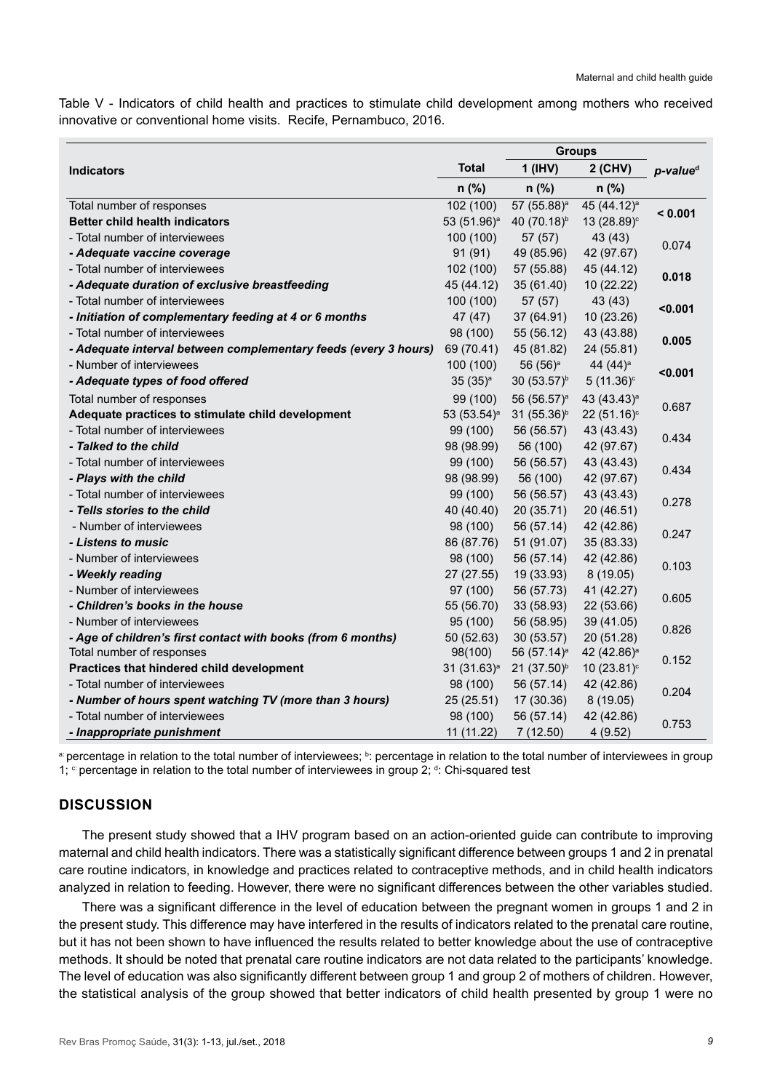Table V - Indicators of child health and practices to stimulate child development among mothers who received innovative or conventional home visits. Recife, Pernambuco, 2016.

|                                                                 |                         | <b>Groups</b>           |                         |                      |  |
|-----------------------------------------------------------------|-------------------------|-------------------------|-------------------------|----------------------|--|
| <b>Indicators</b>                                               | <b>Total</b>            | $1$ (IHV)               | 2 (CHV)                 | p-value <sup>d</sup> |  |
|                                                                 | $n$ (%)                 | $n$ (%)                 | $n$ (%)                 |                      |  |
| Total number of responses                                       | 102 (100)               | 57 (55.88) <sup>a</sup> | 45 (44.12) <sup>a</sup> | < 0.001              |  |
| <b>Better child health indicators</b>                           | 53 (51.96) <sup>a</sup> | 40 (70.18) <sup>b</sup> | 13 (28.89) <sup>c</sup> |                      |  |
| - Total number of interviewees                                  | 100 (100)               | 57(57)                  | 43 (43)                 |                      |  |
| - Adequate vaccine coverage                                     | 91(91)                  | 49 (85.96)              | 42 (97.67)              | 0.074                |  |
| - Total number of interviewees                                  | 102 (100)               | 57 (55.88)              | 45 (44.12)              | 0.018                |  |
| - Adequate duration of exclusive breastfeeding                  | 45 (44.12)              | 35 (61.40)              | 10 (22.22)              |                      |  |
| - Total number of interviewees                                  | 100 (100)               | 57 (57)                 | 43 (43)                 |                      |  |
| - Initiation of complementary feeding at 4 or 6 months          | 47(47)                  | 37 (64.91)              | 10 (23.26)              | < 0.001              |  |
| - Total number of interviewees                                  | 98 (100)                | 55 (56.12)              | 43 (43.88)              |                      |  |
| - Adequate interval between complementary feeds (every 3 hours) | 69 (70.41)              | 45 (81.82)              | 24 (55.81)              | 0.005                |  |
| - Number of interviewees                                        | 100 (100)               | $56(56)^a$              | 44 (44) <sup>a</sup>    |                      |  |
| - Adequate types of food offered                                | $35(35)^a$              | $30(53.57)^{b}$         | $5(11.36)$ °            | < 0.001              |  |
| Total number of responses                                       | 99 (100)                | 56 (56.57) <sup>a</sup> | 43 (43.43) <sup>a</sup> | 0.687                |  |
| Adequate practices to stimulate child development               | 53 (53.54) <sup>a</sup> | 31 (55.36) <sup>b</sup> | 22 (51.16) <sup>c</sup> |                      |  |
| - Total number of interviewees                                  | 99 (100)                | 56 (56.57)              | 43 (43.43)              |                      |  |
| - Talked to the child                                           | 98 (98.99)              | 56 (100)                | 42 (97.67)              | 0.434                |  |
| - Total number of interviewees                                  | 99 (100)                | 56 (56.57)              | 43 (43.43)              | 0.434                |  |
| - Plays with the child                                          | 98 (98.99)              | 56 (100)                | 42 (97.67)              |                      |  |
| - Total number of interviewees                                  | 99 (100)                | 56 (56.57)              | 43 (43.43)              | 0.278                |  |
| - Tells stories to the child                                    | 40 (40.40)              | 20(35.71)               | 20 (46.51)              |                      |  |
| - Number of interviewees                                        | 98 (100)                | 56 (57.14)              | 42 (42.86)              | 0.247                |  |
| - Listens to music                                              | 86 (87.76)              | 51 (91.07)              | 35 (83.33)              |                      |  |
| - Number of interviewees                                        | 98 (100)                | 56 (57.14)              | 42 (42.86)              | 0.103                |  |
| - Weekly reading                                                | 27(27.55)               | 19 (33.93)              | 8(19.05)                |                      |  |
| - Number of interviewees                                        | 97(100)                 | 56 (57.73)              | 41 (42.27)              |                      |  |
| - Children's books in the house                                 | 55 (56.70)              | 33 (58.93)              | 22 (53.66)              | 0.605                |  |
| - Number of interviewees                                        | 95 (100)                | 56 (58.95)              | 39 (41.05)              |                      |  |
| - Age of children's first contact with books (from 6 months)    | 50 (52.63)              | 30(53.57)               | 20 (51.28)              | 0.826                |  |
| Total number of responses                                       | 98(100)                 | 56 (57.14) <sup>a</sup> | 42 (42.86) <sup>a</sup> | 0.152                |  |
| Practices that hindered child development                       | $31(31.63)^a$           | 21 (37.50) <sup>b</sup> | 10 (23.81) <sup>c</sup> |                      |  |
| - Total number of interviewees                                  | 98 (100)                | 56 (57.14)              | 42 (42.86)              | 0.204                |  |
| - Number of hours spent watching TV (more than 3 hours)         | 25(25.51)               | 17 (30.36)              | 8(19.05)                |                      |  |
| - Total number of interviewees                                  | 98 (100)                | 56 (57.14)              | 42 (42.86)              | 0.753                |  |
| - Inappropriate punishment                                      | 11 (11.22)              | 7(12.50)                | 4(9.52)                 |                      |  |

a percentage in relation to the total number of interviewees; <sup>b</sup>: percentage in relation to the total number of interviewees in group 1;  $\degree$  percentage in relation to the total number of interviewees in group 2;  $\degree$ : Chi-squared test

## **DISCUSSION**

The present study showed that a IHV program based on an action-oriented guide can contribute to improving maternal and child health indicators. There was a statistically significant difference between groups 1 and 2 in prenatal care routine indicators, in knowledge and practices related to contraceptive methods, and in child health indicators analyzed in relation to feeding. However, there were no significant differences between the other variables studied.

There was a significant difference in the level of education between the pregnant women in groups 1 and 2 in the present study. This difference may have interfered in the results of indicators related to the prenatal care routine, but it has not been shown to have influenced the results related to better knowledge about the use of contraceptive methods. It should be noted that prenatal care routine indicators are not data related to the participants' knowledge. The level of education was also significantly different between group 1 and group 2 of mothers of children. However, the statistical analysis of the group showed that better indicators of child health presented by group 1 were no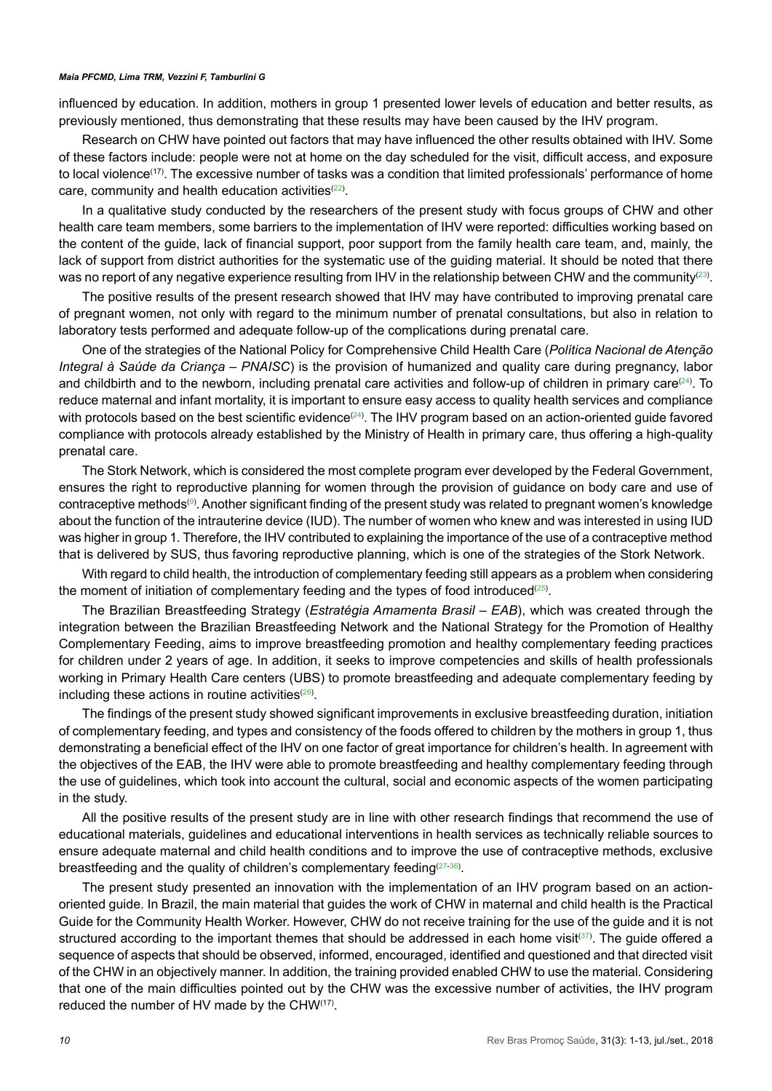influenced by education. In addition, mothers in group 1 presented lower levels of education and better results, as previously mentioned, thus demonstrating that these results may have been caused by the IHV program.

Research on CHW have pointed out factors that may have influenced the other results obtained with IHV. Some of these factors include: people were not at home on the day scheduled for the visit, difficult access, and exposure to local violence(17). The excessive number of tasks was a condition that limited professionals' performance of home care, community and health education activities ${}^{(22)}$  ${}^{(22)}$  ${}^{(22)}$ .

In a qualitative study conducted by the researchers of the present study with focus groups of CHW and other health care team members, some barriers to the implementation of IHV were reported: difficulties working based on the content of the guide, lack of financial support, poor support from the family health care team, and, mainly, the lack of support from district authorities for the systematic use of the guiding material. It should be noted that there was no report of any negative experience resulting from IHV in the relationship between CHW and the community $^{(23)}$  $^{(23)}$  $^{(23)}$ .

The positive results of the present research showed that IHV may have contributed to improving prenatal care of pregnant women, not only with regard to the minimum number of prenatal consultations, but also in relation to laboratory tests performed and adequate follow-up of the complications during prenatal care.

One of the strategies of the National Policy for Comprehensive Child Health Care (*Política Nacional de Atenção Integral à Saúde da Criança – PNAISC*) is the provision of humanized and quality care during pregnancy, labor and childbirth and to the newborn, including prenatal care activities and follow-up of children in primary care $^{(24)}$  $^{(24)}$  $^{(24)}$ . To reduce maternal and infant mortality, it is important to ensure easy access to quality health services and compliance with protocols based on the best scientific evidence<sup>([24](#page-11-16))</sup>. The IHV program based on an action-oriented guide favored compliance with protocols already established by the Ministry of Health in primary care, thus offering a high-quality prenatal care.

The Stork Network, which is considered the most complete program ever developed by the Federal Government, ensures the right to reproductive planning for women through the provision of guidance on body care and use of contraceptive methods®. Another significant finding of the present study was related to pregnant women's knowledge about the function of the intrauterine device (IUD). The number of women who knew and was interested in using IUD was higher in group 1. Therefore, the IHV contributed to explaining the importance of the use of a contraceptive method that is delivered by SUS, thus favoring reproductive planning, which is one of the strategies of the Stork Network.

With regard to child health, the introduction of complementary feeding still appears as a problem when considering the moment of initiation of complementary feeding and the types of food introduced ${}^{\textrm{\tiny{(25)}}}$  ${}^{\textrm{\tiny{(25)}}}$  ${}^{\textrm{\tiny{(25)}}}$ .

The Brazilian Breastfeeding Strategy (*Estratégia Amamenta Brasil – EAB*), which was created through the integration between the Brazilian Breastfeeding Network and the National Strategy for the Promotion of Healthy Complementary Feeding, aims to improve breastfeeding promotion and healthy complementary feeding practices for children under 2 years of age. In addition, it seeks to improve competencies and skills of health professionals working in Primary Health Care centers (UBS) to promote breastfeeding and adequate complementary feeding by including these actions in routine activities $^{(26)}$  $^{(26)}$  $^{(26)}$ .

The findings of the present study showed significant improvements in exclusive breastfeeding duration, initiation of complementary feeding, and types and consistency of the foods offered to children by the mothers in group 1, thus demonstrating a beneficial effect of the IHV on one factor of great importance for children's health. In agreement with the objectives of the EAB, the IHV were able to promote breastfeeding and healthy complementary feeding through the use of guidelines, which took into account the cultural, social and economic aspects of the women participating in the study.

All the positive results of the present study are in line with other research findings that recommend the use of educational materials, guidelines and educational interventions in health services as technically reliable sources to ensure adequate maternal and child health conditions and to improve the use of contraceptive methods, exclusive breastfeeding and the quality of children's complementary feeding $^{(27\text{-}36)}$  $^{(27\text{-}36)}$  $^{(27\text{-}36)}$  $^{(27\text{-}36)}$  $^{(27\text{-}36)}$ .

The present study presented an innovation with the implementation of an IHV program based on an actionoriented guide. In Brazil, the main material that guides the work of CHW in maternal and child health is the Practical Guide for the Community Health Worker. However, CHW do not receive training for the use of the guide and it is not structured according to the important themes that should be addressed in each home visit $^{(37)}$  $^{(37)}$  $^{(37)}$ . The guide offered a sequence of aspects that should be observed, informed, encouraged, identified and questioned and that directed visit of the CHW in an objectively manner. In addition, the training provided enabled CHW to use the material. Considering that one of the main difficulties pointed out by the CHW was the excessive number of activities, the IHV program reduced the number of HV made by the CHW(17).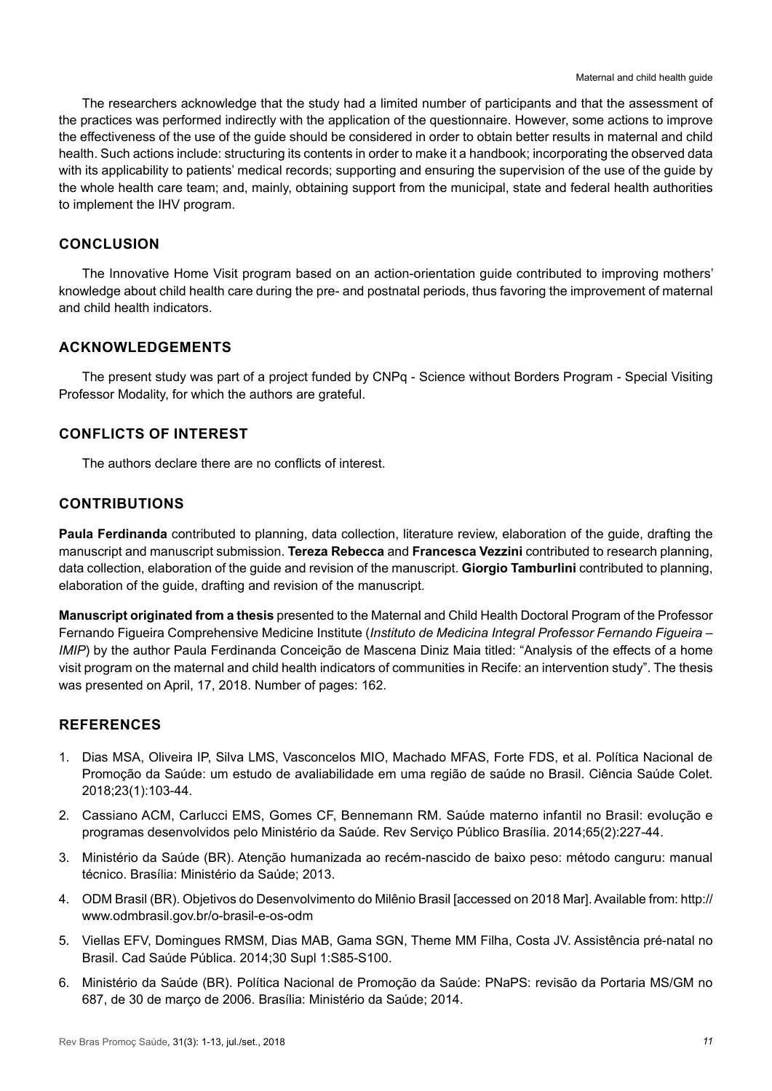The researchers acknowledge that the study had a limited number of participants and that the assessment of the practices was performed indirectly with the application of the questionnaire. However, some actions to improve the effectiveness of the use of the guide should be considered in order to obtain better results in maternal and child health. Such actions include: structuring its contents in order to make it a handbook; incorporating the observed data with its applicability to patients' medical records; supporting and ensuring the supervision of the use of the guide by the whole health care team; and, mainly, obtaining support from the municipal, state and federal health authorities to implement the IHV program.

## **CONCLUSION**

The Innovative Home Visit program based on an action-orientation guide contributed to improving mothers' knowledge about child health care during the pre- and postnatal periods, thus favoring the improvement of maternal and child health indicators.

## **ACKNOWLEDGEMENTS**

The present study was part of a project funded by CNPq - Science without Borders Program - Special Visiting Professor Modality, for which the authors are grateful.

## **CONFLICTS OF INTEREST**

The authors declare there are no conflicts of interest.

## **CONTRIBUTIONS**

**Paula Ferdinanda** contributed to planning, data collection, literature review, elaboration of the guide, drafting the manuscript and manuscript submission. **Tereza Rebecca** and **Francesca Vezzini** contributed to research planning, data collection, elaboration of the guide and revision of the manuscript. **Giorgio Tamburlini** contributed to planning, elaboration of the guide, drafting and revision of the manuscript.

**Manuscript originated from a thesis** presented to the Maternal and Child Health Doctoral Program of the Professor Fernando Figueira Comprehensive Medicine Institute (*Instituto de Medicina Integral Professor Fernando Figueira – IMIP*) by the author Paula Ferdinanda Conceição de Mascena Diniz Maia titled: "Analysis of the effects of a home visit program on the maternal and child health indicators of communities in Recife: an intervention study". The thesis was presented on April, 17, 2018. Number of pages: 162.

## **REFERENCES**

- <span id="page-10-0"></span>1. Dias MSA, Oliveira IP, Silva LMS, Vasconcelos MIO, Machado MFAS, Forte FDS, et al. Política Nacional de Promoção da Saúde: um estudo de avaliabilidade em uma região de saúde no Brasil. Ciência Saúde Colet. 2018;23(1):103-44.
- <span id="page-10-1"></span>2. Cassiano ACM, Carlucci EMS, Gomes CF, Bennemann RM. Saúde materno infantil no Brasil: evolução e programas desenvolvidos pelo Ministério da Saúde. Rev Serviço Público Brasília. 2014;65(2):227-44.
- <span id="page-10-2"></span>3. Ministério da Saúde (BR). Atenção humanizada ao recém-nascido de baixo peso: método canguru: manual técnico. Brasília: Ministério da Saúde; 2013.
- <span id="page-10-3"></span>4. ODM Brasil (BR). Objetivos do Desenvolvimento do Milênio Brasil [accessed on 2018 Mar]. Available from: [http://](http://www.odmbrasil.gov.br/o-brasil-e-os-odm) [www.odmbrasil.gov.br/o-brasil-e-os-odm](http://www.odmbrasil.gov.br/o-brasil-e-os-odm)
- <span id="page-10-4"></span>5. Viellas EFV, Domingues RMSM, Dias MAB, Gama SGN, Theme MM Filha, Costa JV. Assistência pré-natal no Brasil. Cad Saúde Pública. 2014;30 Supl 1:S85-S100.
- <span id="page-10-5"></span>6. Ministério da Saúde (BR). Política Nacional de Promoção da Saúde: PNaPS: revisão da Portaria MS/GM no 687, de 30 de março de 2006. Brasília: Ministério da Saúde; 2014.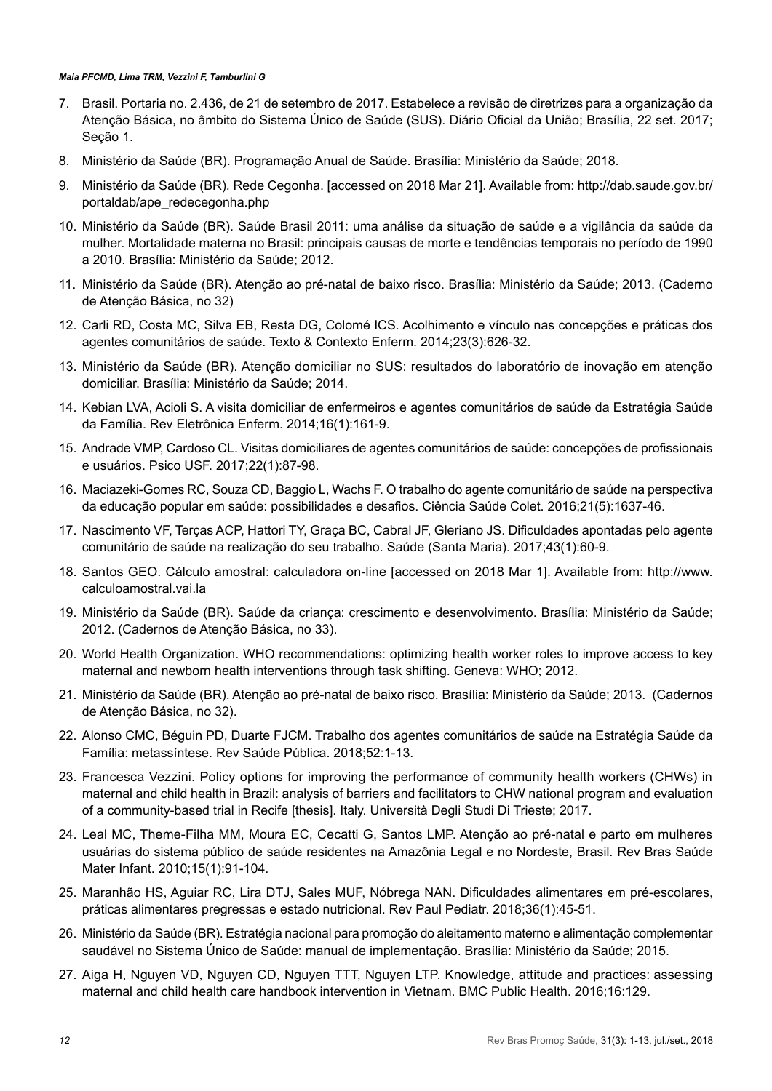- <span id="page-11-0"></span>7. Brasil. Portaria no. 2.436, de 21 de setembro de 2017. Estabelece a revisão de diretrizes para a organização da Atenção Básica, no âmbito do Sistema Único de Saúde (SUS). Diário Oficial da União; Brasília, 22 set. 2017; Seção 1.
- <span id="page-11-1"></span>8. Ministério da Saúde (BR). Programação Anual de Saúde. Brasília: Ministério da Saúde; 2018.
- <span id="page-11-2"></span>9. Ministério da Saúde (BR). Rede Cegonha. [accessed on 2018 Mar 21]. Available from: [http://dab.saude.gov.br/](http://dab.saude.gov.br/portaldab/ape_redecegonha.php) [portaldab/ape\\_redecegonha.php](http://dab.saude.gov.br/portaldab/ape_redecegonha.php)
- <span id="page-11-3"></span>10. Ministério da Saúde (BR). Saúde Brasil 2011: uma análise da situação de saúde e a vigilância da saúde da mulher. Mortalidade materna no Brasil: principais causas de morte e tendências temporais no período de 1990 a 2010. Brasília: Ministério da Saúde; 2012.
- <span id="page-11-4"></span>11. Ministério da Saúde (BR). Atenção ao pré-natal de baixo risco. Brasília: Ministério da Saúde; 2013. (Caderno de Atenção Básica, no 32)
- <span id="page-11-5"></span>12. Carli RD, Costa MC, Silva EB, Resta DG, Colomé ICS. Acolhimento e vínculo nas concepções e práticas dos agentes comunitários de saúde. Texto & Contexto Enferm. 2014;23(3):626-32.
- <span id="page-11-6"></span>13. Ministério da Saúde (BR). Atenção domiciliar no SUS: resultados do laboratório de inovação em atenção domiciliar. Brasília: Ministério da Saúde; 2014.
- <span id="page-11-7"></span>14. Kebian LVA, Acioli S. A visita domiciliar de enfermeiros e agentes comunitários de saúde da Estratégia Saúde da Família. Rev Eletrônica Enferm. 2014;16(1):161-9.
- <span id="page-11-8"></span>15. Andrade VMP, Cardoso CL. Visitas domiciliares de agentes comunitários de saúde: concepções de profissionais e usuários. Psico USF. 2017;22(1):87-98.
- <span id="page-11-9"></span>16. Maciazeki-Gomes RC, Souza CD, Baggio L, Wachs F. O trabalho do agente comunitário de saúde na perspectiva da educação popular em saúde: possibilidades e desafios. Ciência Saúde Colet. 2016;21(5):1637-46.
- <span id="page-11-10"></span>17. Nascimento VF, Terças ACP, Hattori TY, Graça BC, Cabral JF, Gleriano JS. Dificuldades apontadas pelo agente comunitário de saúde na realização do seu trabalho. Saúde (Santa Maria). 2017;43(1):60-9.
- <span id="page-11-11"></span>18. Santos GEO. Cálculo amostral: calculadora on-line [accessed on 2018 Mar 1]. Available from: [http://www.](http://www.calculoamostral.vai.la/) [calculoamostral.vai.la](http://www.calculoamostral.vai.la/)
- <span id="page-11-12"></span>19. Ministério da Saúde (BR). Saúde da criança: crescimento e desenvolvimento. Brasília: Ministério da Saúde; 2012. (Cadernos de Atenção Básica, no 33).
- 20. World Health Organization. WHO recommendations: optimizing health worker roles to improve access to key maternal and newborn health interventions through task shifting. Geneva: WHO; 2012.
- <span id="page-11-13"></span>21. Ministério da Saúde (BR). Atenção ao pré-natal de baixo risco. Brasília: Ministério da Saúde; 2013. (Cadernos de Atenção Básica, no 32).
- <span id="page-11-14"></span>22. Alonso CMC, Béguin PD, Duarte FJCM. Trabalho dos agentes comunitários de saúde na Estratégia Saúde da Família: metassíntese. Rev Saúde Pública. 2018;52:1-13.
- <span id="page-11-15"></span>23. Francesca Vezzini. Policy options for improving the performance of community health workers (CHWs) in maternal and child health in Brazil: analysis of barriers and facilitators to CHW national program and evaluation of a community-based trial in Recife [thesis]. Italy. Università Degli Studi Di Trieste; 2017.
- <span id="page-11-16"></span>24. Leal MC, Theme-Filha MM, Moura EC, Cecatti G, Santos LMP. Atenção ao pré-natal e parto em mulheres usuárias do sistema público de saúde residentes na Amazônia Legal e no Nordeste, Brasil. Rev Bras Saúde Mater Infant. 2010;15(1):91-104.
- <span id="page-11-17"></span>25. Maranhão HS, Aguiar RC, Lira DTJ, Sales MUF, Nóbrega NAN. Dificuldades alimentares em pré-escolares, práticas alimentares pregressas e estado nutricional. Rev Paul Pediatr. 2018;36(1):45-51.
- <span id="page-11-18"></span>26. Ministério da Saúde (BR). Estratégia nacional para promoção do aleitamento materno e alimentação complementar saudável no Sistema Único de Saúde: manual de implementação. Brasília: Ministério da Saúde; 2015.
- <span id="page-11-19"></span>27. Aiga H, Nguyen VD, Nguyen CD, Nguyen TTT, Nguyen LTP. Knowledge, attitude and practices: assessing maternal and child health care handbook intervention in Vietnam. BMC Public Health. 2016;16:129.